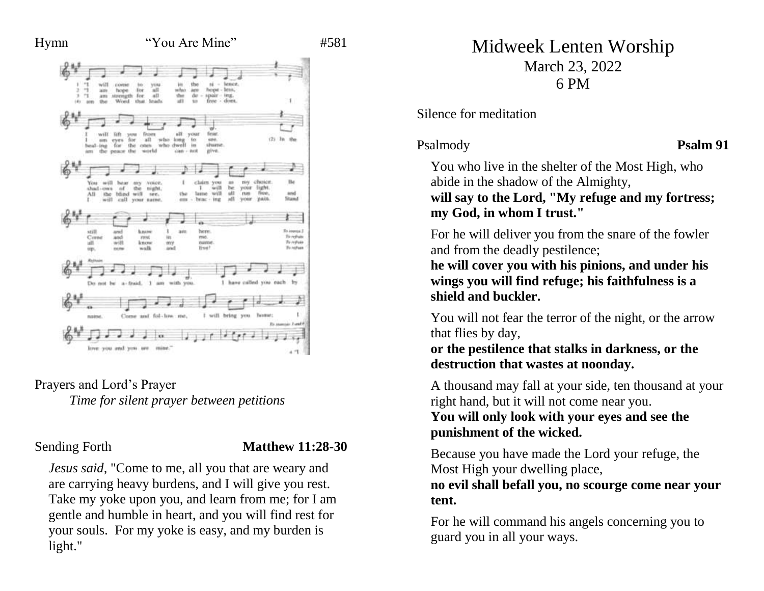

Prayers and Lord's Prayer *Time for silent prayer between petitions*

### Sending Forth **Matthew 11:28-30**

*Jesus said,* "Come to me, all you that are weary and are carrying heavy burdens, and I will give you rest. Take my yoke upon you, and learn from me; for I am gentle and humble in heart, and you will find rest for your souls. For my yoke is easy, and my burden is light."

# Midweek Lenten Worship March 23, 2022 6 PM

Silence for meditation

Psalmody **Psalm 91**

You who live in the shelter of the Most High, who abide in the shadow of the Almighty, **will say to the Lord, "My refuge and my fortress; my God, in whom I trust."** 

For he will deliver you from the snare of the fowler and from the deadly pestilence;

**he will cover you with his pinions, and under his wings you will find refuge; his faithfulness is a shield and buckler.** 

You will not fear the terror of the night, or the arrow that flies by day,

**or the pestilence that stalks in darkness, or the destruction that wastes at noonday.** 

A thousand may fall at your side, ten thousand at your right hand, but it will not come near you.

**You will only look with your eyes and see the punishment of the wicked.** 

Because you have made the Lord your refuge, the Most High your dwelling place,

**no evil shall befall you, no scourge come near your tent.** 

For he will command his angels concerning you to guard you in all your ways.